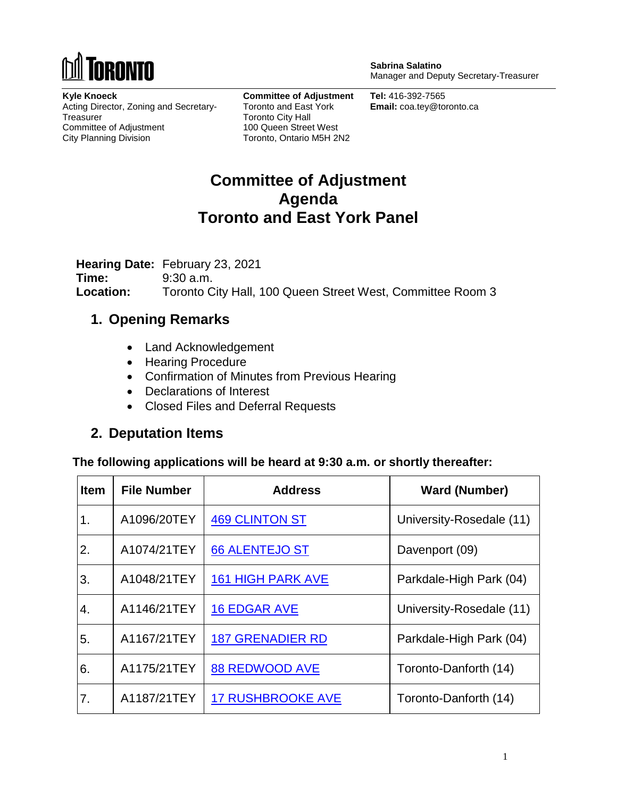

**Sabrina Salatino** Manager and Deputy Secretary-Treasurer

**Kyle Knoeck** Acting Director, Zoning and Secretary-**Treasurer** Committee of Adjustment City Planning Division

**Committee of Adjustment** Toronto and East York Toronto City Hall 100 Queen Street West Toronto, Ontario M5H 2N2

**Tel:** 416-392-7565 **Email:** coa.tey@toronto.ca

## **Committee of Adjustment Agenda Toronto and East York Panel**

**Hearing Date:** February 23, 2021 **Time:** 9:30 a.m. **Location:** Toronto City Hall, 100 Queen Street West, Committee Room 3

### **1. Opening Remarks**

- Land Acknowledgement
- Hearing Procedure
- Confirmation of Minutes from Previous Hearing
- Declarations of Interest
- Closed Files and Deferral Requests

### **2. Deputation Items**

**The following applications will be heard at 9:30 a.m. or shortly thereafter:**

| <b>Item</b> | <b>File Number</b> | <b>Address</b>           | <b>Ward (Number)</b>     |
|-------------|--------------------|--------------------------|--------------------------|
| 1.          | A1096/20TEY        | <b>469 CLINTON ST</b>    | University-Rosedale (11) |
| 2.          | A1074/21TEY        | <b>66 ALENTEJO ST</b>    | Davenport (09)           |
| 3.          | A1048/21TEY        | <b>161 HIGH PARK AVE</b> | Parkdale-High Park (04)  |
| 4.          | A1146/21TEY        | <b>16 EDGAR AVE</b>      | University-Rosedale (11) |
| 5.          | A1167/21TEY        | <b>187 GRENADIER RD</b>  | Parkdale-High Park (04)  |
| 6.          | A1175/21TEY        | <b>88 REDWOOD AVE</b>    | Toronto-Danforth (14)    |
| 7.          | A1187/21TEY        | <b>17 RUSHBROOKE AVE</b> | Toronto-Danforth (14)    |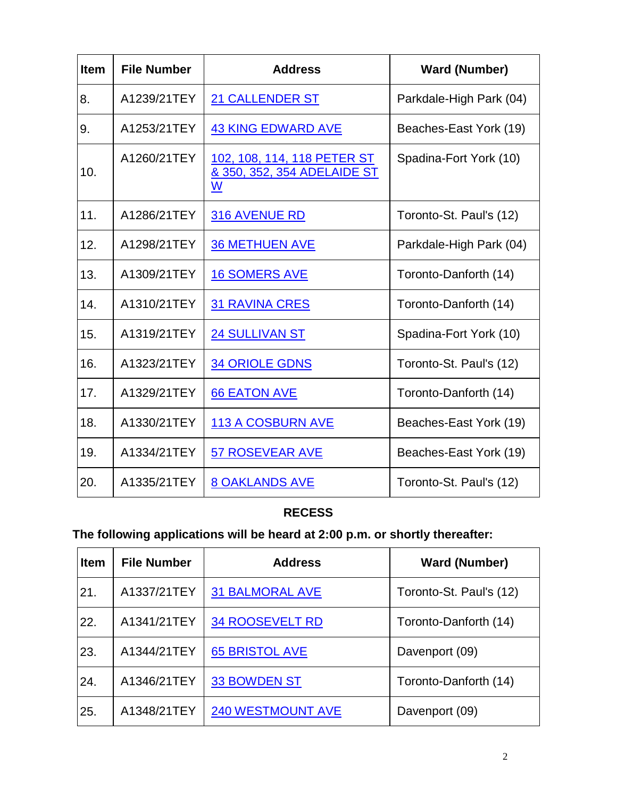| <b>Item</b> | <b>File Number</b> | <b>Address</b>                                                  | <b>Ward (Number)</b>    |
|-------------|--------------------|-----------------------------------------------------------------|-------------------------|
| 8.          | A1239/21TEY        | <b>21 CALLENDER ST</b>                                          | Parkdale-High Park (04) |
| 9.          | A1253/21TEY        | <b>43 KING EDWARD AVE</b>                                       | Beaches-East York (19)  |
| 10.         | A1260/21TEY        | 102, 108, 114, 118 PETER ST<br>& 350, 352, 354 ADELAIDE ST<br>W | Spadina-Fort York (10)  |
| 11.         | A1286/21TEY        | <b>316 AVENUE RD</b>                                            | Toronto-St. Paul's (12) |
| 12.         | A1298/21TEY        | <b>36 METHUEN AVE</b>                                           | Parkdale-High Park (04) |
| 13.         | A1309/21TEY        | <b>16 SOMERS AVE</b>                                            | Toronto-Danforth (14)   |
| 14.         | A1310/21TEY        | <b>31 RAVINA CRES</b>                                           | Toronto-Danforth (14)   |
| 15.         | A1319/21TEY        | <b>24 SULLIVAN ST</b>                                           | Spadina-Fort York (10)  |
| 16.         | A1323/21TEY        | <b>34 ORIOLE GDNS</b>                                           | Toronto-St. Paul's (12) |
| 17.         | A1329/21TEY        | <b>66 EATON AVE</b>                                             | Toronto-Danforth (14)   |
| 18.         | A1330/21TEY        | <b>113 A COSBURN AVE</b>                                        | Beaches-East York (19)  |
| 19.         | A1334/21TEY        | <b>57 ROSEVEAR AVE</b>                                          | Beaches-East York (19)  |
| 20.         | A1335/21TEY        | <b>8 OAKLANDS AVE</b>                                           | Toronto-St. Paul's (12) |

## **RECESS**

# **The following applications will be heard at 2:00 p.m. or shortly thereafter:**

| <b>Item</b> | <b>File Number</b> | <b>Address</b>           | <b>Ward (Number)</b>    |
|-------------|--------------------|--------------------------|-------------------------|
| 21.         | A1337/21TEY        | <b>31 BALMORAL AVE</b>   | Toronto-St. Paul's (12) |
| 22.         | A1341/21TEY        | <b>34 ROOSEVELT RD</b>   | Toronto-Danforth (14)   |
| 23.         | A1344/21TEY        | <b>65 BRISTOL AVE</b>    | Davenport (09)          |
| 24.         | A1346/21TEY        | <b>33 BOWDEN ST</b>      | Toronto-Danforth (14)   |
| 25.         | A1348/21TEY        | <b>240 WESTMOUNT AVE</b> | Davenport (09)          |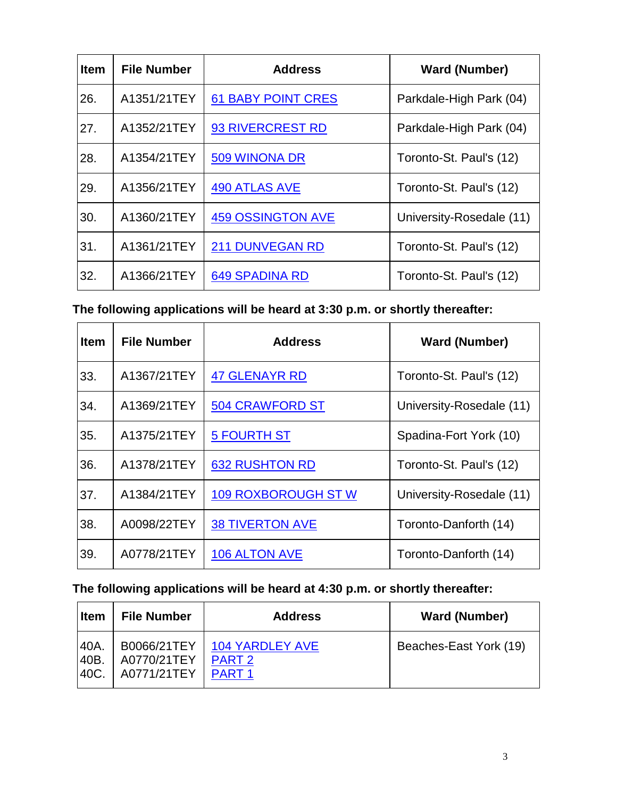| <b>Item</b> | <b>File Number</b> | <b>Address</b>            | <b>Ward (Number)</b>     |
|-------------|--------------------|---------------------------|--------------------------|
| 26.         | A1351/21TEY        | <b>61 BABY POINT CRES</b> | Parkdale-High Park (04)  |
| 27.         | A1352/21TEY        | <b>93 RIVERCREST RD</b>   | Parkdale-High Park (04)  |
| 28.         | A1354/21TEY        | 509 WINONA DR             | Toronto-St. Paul's (12)  |
| 29.         | A1356/21TEY        | <b>490 ATLAS AVE</b>      | Toronto-St. Paul's (12)  |
| 30.         | A1360/21TEY        | <b>459 OSSINGTON AVE</b>  | University-Rosedale (11) |
| 31.         | A1361/21TEY        | <b>211 DUNVEGAN RD</b>    | Toronto-St. Paul's (12)  |
| 32.         | A1366/21TEY        | <b>649 SPADINA RD</b>     | Toronto-St. Paul's (12)  |

**The following applications will be heard at 3:30 p.m. or shortly thereafter:**

| <b>Item</b> | <b>File Number</b> | <b>Address</b>             | <b>Ward (Number)</b>     |
|-------------|--------------------|----------------------------|--------------------------|
| 33.         | A1367/21TEY        | <b>47 GLENAYR RD</b>       | Toronto-St. Paul's (12)  |
| 34.         | A1369/21TEY        | <b>504 CRAWFORD ST</b>     | University-Rosedale (11) |
| 35.         | A1375/21TEY        | <b>5 FOURTH ST</b>         | Spadina-Fort York (10)   |
| 36.         | A1378/21TEY        | <b>632 RUSHTON RD</b>      | Toronto-St. Paul's (12)  |
| 37.         | A1384/21TEY        | <b>109 ROXBOROUGH ST W</b> | University-Rosedale (11) |
| 38.         | A0098/22TEY        | <b>38 TIVERTON AVE</b>     | Toronto-Danforth (14)    |
| 39.         | A0778/21TEY        | 106 ALTON AVE              | Toronto-Danforth (14)    |

## **The following applications will be heard at 4:30 p.m. or shortly thereafter:**

| <b>Item</b> | <b>File Number</b> | <b>Address</b>         | <b>Ward (Number)</b>   |
|-------------|--------------------|------------------------|------------------------|
| $40A$ .     | B0066/21TEY        | <b>104 YARDLEY AVE</b> | Beaches-East York (19) |
| 40B.        | A0770/21TEY        | PART <sub>2</sub>      |                        |
| 140C.       | A0771/21TEY        | <b>PART1</b>           |                        |